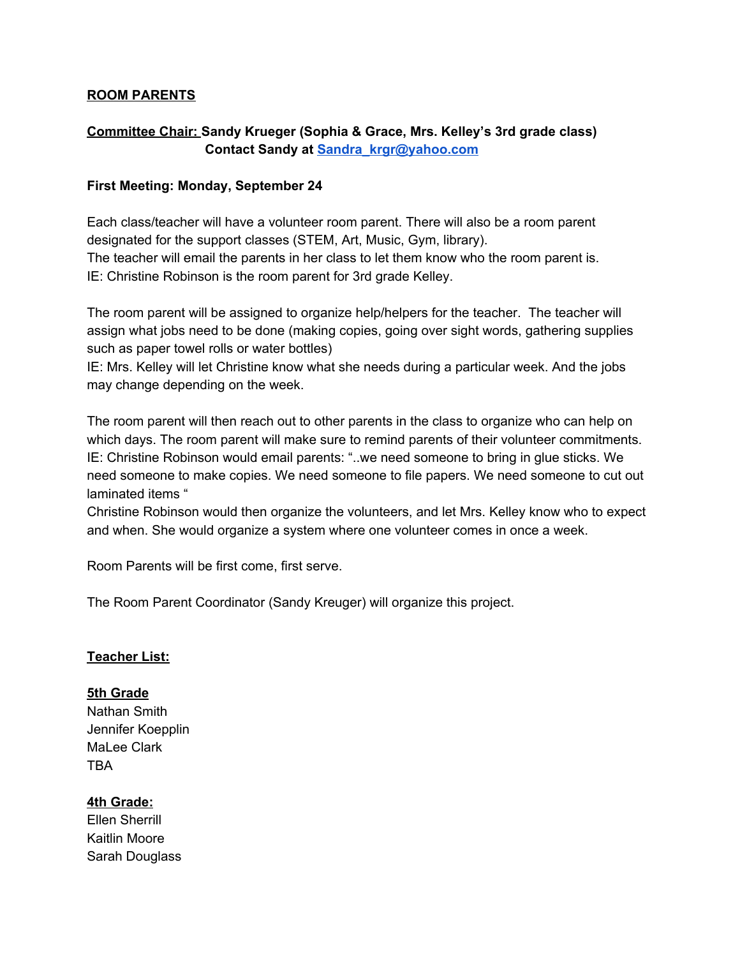### **ROOM PARENTS**

# **Committee Chair: Sandy Krueger (Sophia & Grace, Mrs. Kelley's 3rd grade class) Contact Sandy at [Sandra\\_krgr@yahoo.com](mailto:Sandra_krgr@yahoo.com)**

### **First Meeting: Monday, September 24**

Each class/teacher will have a volunteer room parent. There will also be a room parent designated for the support classes (STEM, Art, Music, Gym, library). The teacher will email the parents in her class to let them know who the room parent is. IE: Christine Robinson is the room parent for 3rd grade Kelley.

The room parent will be assigned to organize help/helpers for the teacher. The teacher will assign what jobs need to be done (making copies, going over sight words, gathering supplies such as paper towel rolls or water bottles)

IE: Mrs. Kelley will let Christine know what she needs during a particular week. And the jobs may change depending on the week.

The room parent will then reach out to other parents in the class to organize who can help on which days. The room parent will make sure to remind parents of their volunteer commitments. IE: Christine Robinson would email parents: "..we need someone to bring in glue sticks. We need someone to make copies. We need someone to file papers. We need someone to cut out laminated items "

Christine Robinson would then organize the volunteers, and let Mrs. Kelley know who to expect and when. She would organize a system where one volunteer comes in once a week.

Room Parents will be first come, first serve.

The Room Parent Coordinator (Sandy Kreuger) will organize this project.

### **Teacher List:**

#### **5th Grade**

Nathan Smith Jennifer Koepplin MaLee Clark TBA

### **4th Grade:**

Ellen Sherrill Kaitlin Moore Sarah Douglass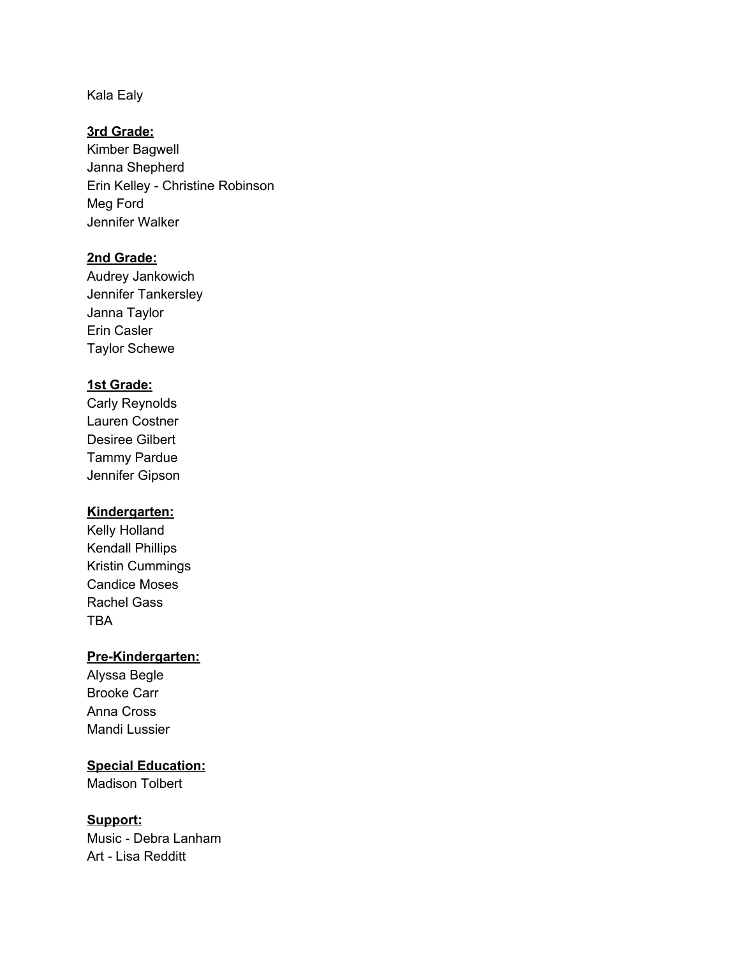Kala Ealy

#### **3rd Grade:**

Kimber Bagwell Janna Shepherd Erin Kelley - Christine Robinson Meg Ford Jennifer Walker

#### **2nd Grade:**

Audrey Jankowich Jennifer Tankersley Janna Taylor Erin Casler Taylor Schewe

### **1st Grade:**

Carly Reynolds Lauren Costner Desiree Gilbert Tammy Pardue Jennifer Gipson

### **Kindergarten:**

Kelly Holland Kendall Phillips Kristin Cummings Candice Moses Rachel Gass TBA

## **Pre-Kindergarten:**

Alyssa Begle Brooke Carr Anna Cross Mandi Lussier

**Special Education:** Madison Tolbert

### **Support:**

Music - Debra Lanham Art - Lisa Redditt